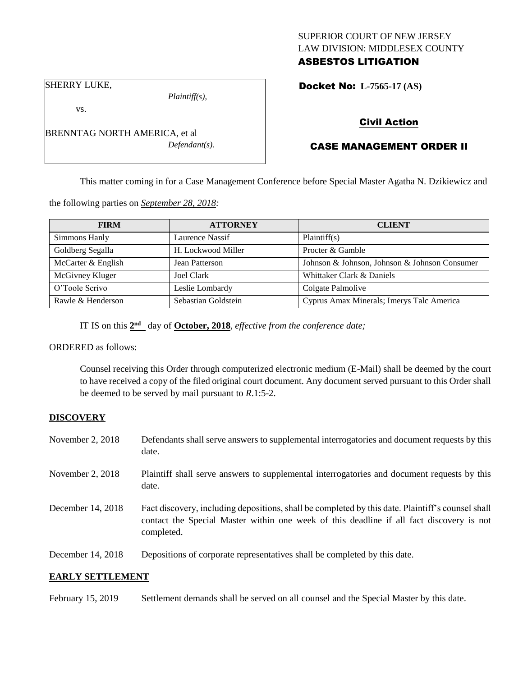## SUPERIOR COURT OF NEW JERSEY LAW DIVISION: MIDDLESEX COUNTY ASBESTOS LITIGATION

Docket No: **L-7565-17 (AS)** 

SHERRY LUKE,

vs.

*Plaintiff(s),*

*Defendant(s).*

Civil Action

# CASE MANAGEMENT ORDER II

This matter coming in for a Case Management Conference before Special Master Agatha N. Dzikiewicz and

the following parties on *September 28, 2018:*

BRENNTAG NORTH AMERICA, et al

| <b>FIRM</b>        | <b>ATTORNEY</b>     | <b>CLIENT</b>                                 |
|--------------------|---------------------|-----------------------------------------------|
| Simmons Hanly      | Laurence Nassif     | Plaintiff(s)                                  |
| Goldberg Segalla   | H. Lockwood Miller  | Procter & Gamble                              |
| McCarter & English | Jean Patterson      | Johnson & Johnson, Johnson & Johnson Consumer |
| McGivney Kluger    | Joel Clark          | Whittaker Clark & Daniels                     |
| O'Toole Scrivo     | Leslie Lombardy     | Colgate Palmolive                             |
| Rawle & Henderson  | Sebastian Goldstein | Cyprus Amax Minerals; Imerys Talc America     |

IT IS on this  $2<sup>nd</sup>$  day of **October, 2018**, *effective from the conference date*;

ORDERED as follows:

Counsel receiving this Order through computerized electronic medium (E-Mail) shall be deemed by the court to have received a copy of the filed original court document. Any document served pursuant to this Order shall be deemed to be served by mail pursuant to *R*.1:5-2.

## **DISCOVERY**

| November 2, $2018$   | Defendants shall serve answers to supplemental interrogatories and document requests by this<br>date.                                                                                                       |
|----------------------|-------------------------------------------------------------------------------------------------------------------------------------------------------------------------------------------------------------|
| November 2, 2018     | Plaintiff shall serve answers to supplemental interrogatories and document requests by this<br>date.                                                                                                        |
| December 14, 2018    | Fact discovery, including depositions, shall be completed by this date. Plaintiff's counsel shall<br>contact the Special Master within one week of this deadline if all fact discovery is not<br>completed. |
| December 14, 2018    | Depositions of corporate representatives shall be completed by this date.                                                                                                                                   |
| BABI V GRAMI BI ABIA |                                                                                                                                                                                                             |

### **EARLY SETTLEMENT**

February 15, 2019 Settlement demands shall be served on all counsel and the Special Master by this date.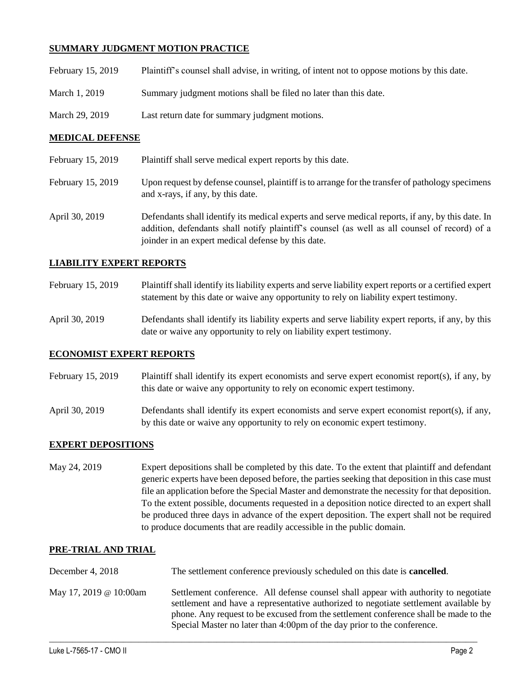## **SUMMARY JUDGMENT MOTION PRACTICE**

| February 15, 2019 | Plaintiff's counsel shall advise, in writing, of intent not to oppose motions by this date. |
|-------------------|---------------------------------------------------------------------------------------------|
| March 1, 2019     | Summary judgment motions shall be filed no later than this date.                            |
| March 29, 2019    | Last return date for summary judgment motions.                                              |

## **MEDICAL DEFENSE**

- February 15, 2019 Plaintiff shall serve medical expert reports by this date.
- February 15, 2019 Upon request by defense counsel, plaintiff is to arrange for the transfer of pathology specimens and x-rays, if any, by this date.
- April 30, 2019 Defendants shall identify its medical experts and serve medical reports, if any, by this date. In addition, defendants shall notify plaintiff's counsel (as well as all counsel of record) of a joinder in an expert medical defense by this date.

## **LIABILITY EXPERT REPORTS**

- February 15, 2019 Plaintiff shall identify its liability experts and serve liability expert reports or a certified expert statement by this date or waive any opportunity to rely on liability expert testimony.
- April 30, 2019 Defendants shall identify its liability experts and serve liability expert reports, if any, by this date or waive any opportunity to rely on liability expert testimony.

### **ECONOMIST EXPERT REPORTS**

- February 15, 2019 Plaintiff shall identify its expert economists and serve expert economist report(s), if any, by this date or waive any opportunity to rely on economic expert testimony.
- April 30, 2019 Defendants shall identify its expert economists and serve expert economist report(s), if any, by this date or waive any opportunity to rely on economic expert testimony.

### **EXPERT DEPOSITIONS**

May 24, 2019 Expert depositions shall be completed by this date. To the extent that plaintiff and defendant generic experts have been deposed before, the parties seeking that deposition in this case must file an application before the Special Master and demonstrate the necessity for that deposition. To the extent possible, documents requested in a deposition notice directed to an expert shall be produced three days in advance of the expert deposition. The expert shall not be required to produce documents that are readily accessible in the public domain.

### **PRE-TRIAL AND TRIAL**

| December 4, $2018$     | The settlement conference previously scheduled on this date is <b>cancelled</b> .                                                                                                                                                                                                                                                              |
|------------------------|------------------------------------------------------------------------------------------------------------------------------------------------------------------------------------------------------------------------------------------------------------------------------------------------------------------------------------------------|
| May 17, 2019 @ 10:00am | Settlement conference. All defense counsel shall appear with authority to negotiate<br>settlement and have a representative authorized to negotiate settlement available by<br>phone. Any request to be excused from the settlement conference shall be made to the<br>Special Master no later than 4:00pm of the day prior to the conference. |